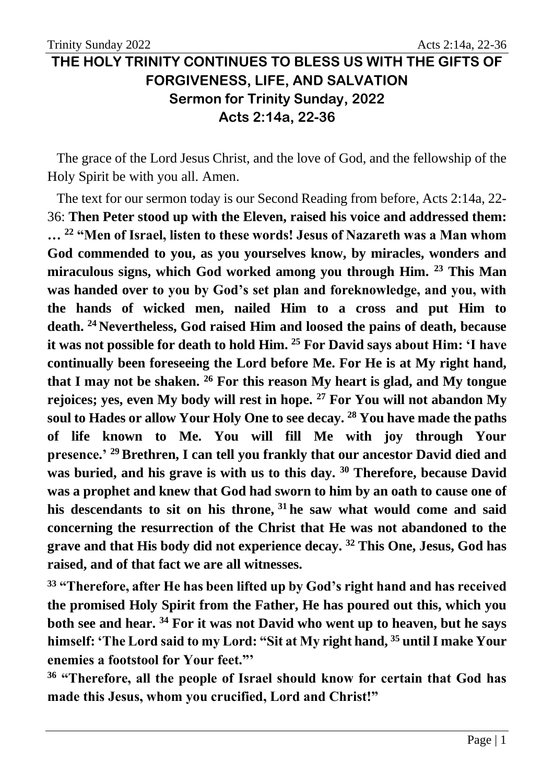## **THE HOLY TRINITY CONTINUES TO BLESS US WITH THE GIFTS OF FORGIVENESS, LIFE, AND SALVATION Sermon for Trinity Sunday, 2022 Acts 2:14a, 22-36**

The grace of the Lord Jesus Christ, and the love of God, and the fellowship of the Holy Spirit be with you all. Amen.

The text for our sermon today is our Second Reading from before, Acts 2:14a, 22- 36: **Then Peter stood up with the Eleven, raised his voice and addressed them: … <sup>22</sup> "Men of Israel, listen to these words! Jesus of Nazareth was a Man whom God commended to you, as you yourselves know, by miracles, wonders and miraculous signs, which God worked among you through Him. <sup>23</sup> This Man was handed over to you by God's set plan and foreknowledge, and you, with the hands of wicked men, nailed Him to a cross and put Him to death. <sup>24</sup> Nevertheless, God raised Him and loosed the pains of death, because it was not possible for death to hold Him. <sup>25</sup> For David says about Him: 'I have continually been foreseeing the Lord before Me. For He is at My right hand, that I may not be shaken. <sup>26</sup> For this reason My heart is glad, and My tongue rejoices; yes, even My body will rest in hope. <sup>27</sup> For You will not abandon My soul to Hades or allow Your Holy One to see decay. <sup>28</sup> You have made the paths of life known to Me. You will fill Me with joy through Your presence.' <sup>29</sup> Brethren, I can tell you frankly that our ancestor David died and was buried, and his grave is with us to this day. <sup>30</sup> Therefore, because David was a prophet and knew that God had sworn to him by an oath to cause one of his descendants to sit on his throne, <sup>31</sup> he saw what would come and said concerning the resurrection of the Christ that He was not abandoned to the grave and that His body did not experience decay. <sup>32</sup> This One, Jesus, God has raised, and of that fact we are all witnesses.**

**<sup>33</sup> "Therefore, after He has been lifted up by God's right hand and has received the promised Holy Spirit from the Father, He has poured out this, which you both see and hear. <sup>34</sup> For it was not David who went up to heaven, but he says himself: 'The Lord said to my Lord: "Sit at My right hand, <sup>35</sup> until I make Your enemies a footstool for Your feet."'**

**<sup>36</sup> "Therefore, all the people of Israel should know for certain that God has made this Jesus, whom you crucified, Lord and Christ!"**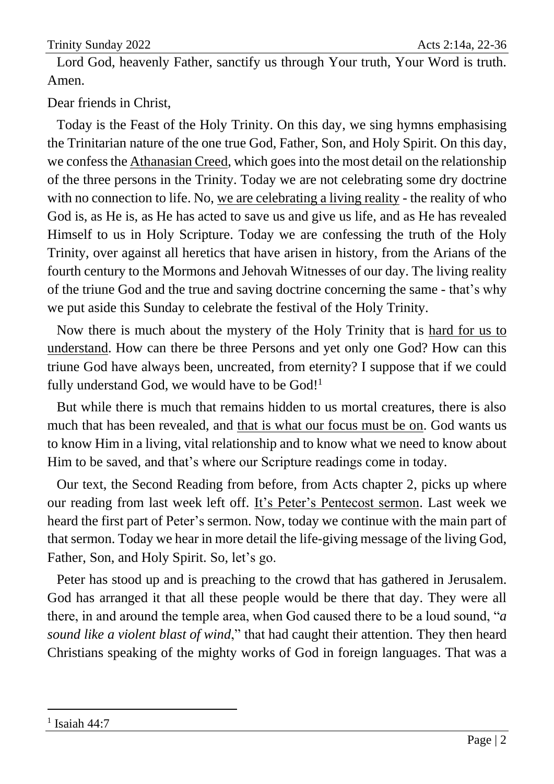Lord God, heavenly Father, sanctify us through Your truth, Your Word is truth. Amen.

Dear friends in Christ,

Today is the Feast of the Holy Trinity. On this day, we sing hymns emphasising the Trinitarian nature of the one true God, Father, Son, and Holy Spirit. On this day, we confessthe Athanasian Creed, which goes into the most detail on the relationship of the three persons in the Trinity. Today we are not celebrating some dry doctrine with no connection to life. No, we are celebrating a living reality - the reality of who God is, as He is, as He has acted to save us and give us life, and as He has revealed Himself to us in Holy Scripture. Today we are confessing the truth of the Holy Trinity, over against all heretics that have arisen in history, from the Arians of the fourth century to the Mormons and Jehovah Witnesses of our day. The living reality of the triune God and the true and saving doctrine concerning the same - that's why we put aside this Sunday to celebrate the festival of the Holy Trinity.

Now there is much about the mystery of the Holy Trinity that is hard for us to understand. How can there be three Persons and yet only one God? How can this triune God have always been, uncreated, from eternity? I suppose that if we could fully understand God, we would have to be God!<sup>1</sup>

But while there is much that remains hidden to us mortal creatures, there is also much that has been revealed, and that is what our focus must be on. God wants us to know Him in a living, vital relationship and to know what we need to know about Him to be saved, and that's where our Scripture readings come in today.

Our text, the Second Reading from before, from Acts chapter 2, picks up where our reading from last week left off. It's Peter's Pentecost sermon. Last week we heard the first part of Peter's sermon. Now, today we continue with the main part of that sermon. Today we hear in more detail the life-giving message of the living God, Father, Son, and Holy Spirit. So, let's go.

Peter has stood up and is preaching to the crowd that has gathered in Jerusalem. God has arranged it that all these people would be there that day. They were all there, in and around the temple area, when God caused there to be a loud sound, "*a sound like a violent blast of wind*," that had caught their attention. They then heard Christians speaking of the mighty works of God in foreign languages. That was a

<sup>1</sup> Isaiah 44:7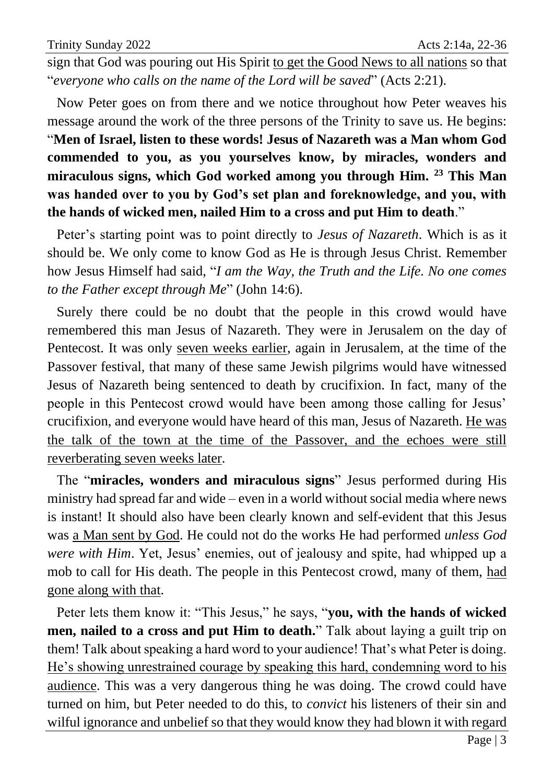sign that God was pouring out His Spirit to get the Good News to all nations so that "*everyone who calls on the name of the Lord will be saved*" (Acts 2:21).

Now Peter goes on from there and we notice throughout how Peter weaves his message around the work of the three persons of the Trinity to save us. He begins: "**Men of Israel, listen to these words! Jesus of Nazareth was a Man whom God commended to you, as you yourselves know, by miracles, wonders and miraculous signs, which God worked among you through Him. <sup>23</sup> This Man was handed over to you by God's set plan and foreknowledge, and you, with the hands of wicked men, nailed Him to a cross and put Him to death**."

Peter's starting point was to point directly to *Jesus of Nazareth*. Which is as it should be. We only come to know God as He is through Jesus Christ. Remember how Jesus Himself had said, "*I am the Way, the Truth and the Life. No one comes to the Father except through Me*" (John 14:6).

Surely there could be no doubt that the people in this crowd would have remembered this man Jesus of Nazareth. They were in Jerusalem on the day of Pentecost. It was only seven weeks earlier, again in Jerusalem, at the time of the Passover festival, that many of these same Jewish pilgrims would have witnessed Jesus of Nazareth being sentenced to death by crucifixion. In fact, many of the people in this Pentecost crowd would have been among those calling for Jesus' crucifixion, and everyone would have heard of this man, Jesus of Nazareth. He was the talk of the town at the time of the Passover, and the echoes were still reverberating seven weeks later.

The "**miracles, wonders and miraculous signs**" Jesus performed during His ministry had spread far and wide – even in a world without social media where news is instant! It should also have been clearly known and self-evident that this Jesus was a Man sent by God. He could not do the works He had performed *unless God were with Him*. Yet, Jesus' enemies, out of jealousy and spite, had whipped up a mob to call for His death. The people in this Pentecost crowd, many of them, had gone along with that.

Peter lets them know it: "This Jesus," he says, "**you, with the hands of wicked men, nailed to a cross and put Him to death.**" Talk about laying a guilt trip on them! Talk about speaking a hard word to your audience! That's what Peter is doing. He's showing unrestrained courage by speaking this hard, condemning word to his audience. This was a very dangerous thing he was doing. The crowd could have turned on him, but Peter needed to do this, to *convict* his listeners of their sin and wilful ignorance and unbelief so that they would know they had blown it with regard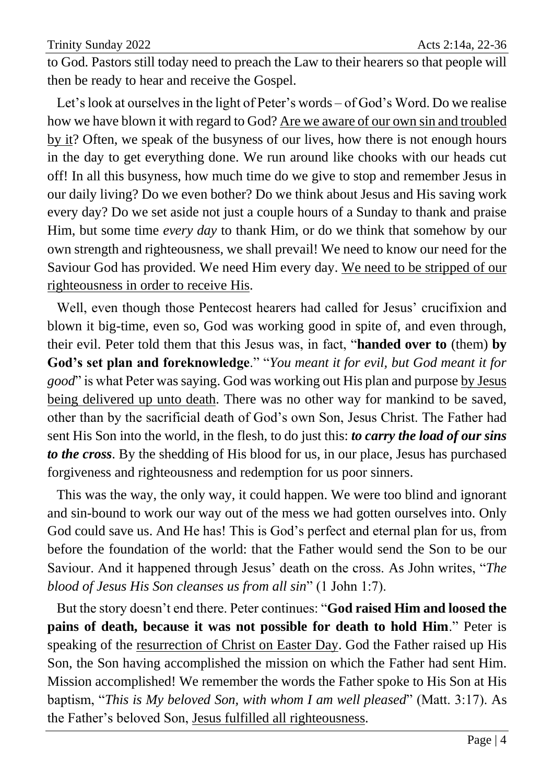to God. Pastors still today need to preach the Law to their hearers so that people will then be ready to hear and receive the Gospel.

Let's look at ourselves in the light of Peter's words – of God's Word. Do we realise how we have blown it with regard to God? Are we aware of our own sin and troubled by it? Often, we speak of the busyness of our lives, how there is not enough hours in the day to get everything done. We run around like chooks with our heads cut off! In all this busyness, how much time do we give to stop and remember Jesus in our daily living? Do we even bother? Do we think about Jesus and His saving work every day? Do we set aside not just a couple hours of a Sunday to thank and praise Him, but some time *every day* to thank Him, or do we think that somehow by our own strength and righteousness, we shall prevail! We need to know our need for the Saviour God has provided. We need Him every day. We need to be stripped of our righteousness in order to receive His.

Well, even though those Pentecost hearers had called for Jesus' crucifixion and blown it big-time, even so, God was working good in spite of, and even through, their evil. Peter told them that this Jesus was, in fact, "**handed over to** (them) **by God's set plan and foreknowledge**." "*You meant it for evil, but God meant it for good*" is what Peter was saying. God was working out His plan and purpose by Jesus being delivered up unto death. There was no other way for mankind to be saved, other than by the sacrificial death of God's own Son, Jesus Christ. The Father had sent His Son into the world, in the flesh, to do just this: *to carry the load of our sins to the cross*. By the shedding of His blood for us, in our place, Jesus has purchased forgiveness and righteousness and redemption for us poor sinners.

This was the way, the only way, it could happen. We were too blind and ignorant and sin-bound to work our way out of the mess we had gotten ourselves into. Only God could save us. And He has! This is God's perfect and eternal plan for us, from before the foundation of the world: that the Father would send the Son to be our Saviour. And it happened through Jesus' death on the cross. As John writes, "*The blood of Jesus His Son cleanses us from all sin*" (1 John 1:7).

But the story doesn't end there. Peter continues: "**God raised Him and loosed the pains of death, because it was not possible for death to hold Him**." Peter is speaking of the resurrection of Christ on Easter Day. God the Father raised up His Son, the Son having accomplished the mission on which the Father had sent Him. Mission accomplished! We remember the words the Father spoke to His Son at His baptism, "*This is My beloved Son, with whom I am well pleased*" (Matt. 3:17). As the Father's beloved Son, Jesus fulfilled all righteousness.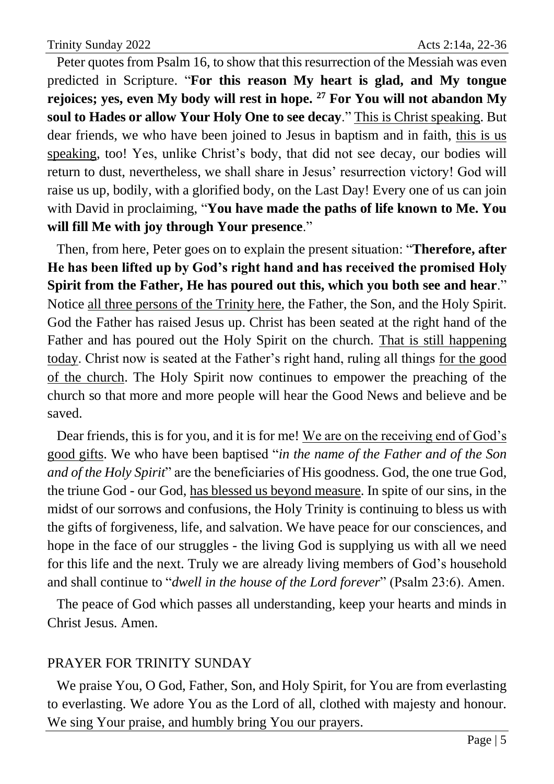Peter quotes from Psalm 16, to show that this resurrection of the Messiah was even predicted in Scripture. "**For this reason My heart is glad, and My tongue rejoices; yes, even My body will rest in hope. <sup>27</sup> For You will not abandon My soul to Hades or allow Your Holy One to see decay**." This is Christ speaking. But dear friends, we who have been joined to Jesus in baptism and in faith, this is us speaking, too! Yes, unlike Christ's body, that did not see decay, our bodies will return to dust, nevertheless, we shall share in Jesus' resurrection victory! God will raise us up, bodily, with a glorified body, on the Last Day! Every one of us can join with David in proclaiming, "**You have made the paths of life known to Me. You will fill Me with joy through Your presence**."

Then, from here, Peter goes on to explain the present situation: "**Therefore, after He has been lifted up by God's right hand and has received the promised Holy Spirit from the Father, He has poured out this, which you both see and hear**." Notice all three persons of the Trinity here, the Father, the Son, and the Holy Spirit. God the Father has raised Jesus up. Christ has been seated at the right hand of the Father and has poured out the Holy Spirit on the church. That is still happening today. Christ now is seated at the Father's right hand, ruling all things for the good of the church. The Holy Spirit now continues to empower the preaching of the church so that more and more people will hear the Good News and believe and be saved.

Dear friends, this is for you, and it is for me! We are on the receiving end of God's good gifts. We who have been baptised "*in the name of the Father and of the Son and of the Holy Spirit*" are the beneficiaries of His goodness. God, the one true God, the triune God - our God, has blessed us beyond measure. In spite of our sins, in the midst of our sorrows and confusions, the Holy Trinity is continuing to bless us with the gifts of forgiveness, life, and salvation. We have peace for our consciences, and hope in the face of our struggles - the living God is supplying us with all we need for this life and the next. Truly we are already living members of God's household and shall continue to "*dwell in the house of the Lord forever*" (Psalm 23:6). Amen.

The peace of God which passes all understanding, keep your hearts and minds in Christ Jesus. Amen.

## PRAYER FOR TRINITY SUNDAY

We praise You, O God, Father, Son, and Holy Spirit, for You are from everlasting to everlasting. We adore You as the Lord of all, clothed with majesty and honour. We sing Your praise, and humbly bring You our prayers.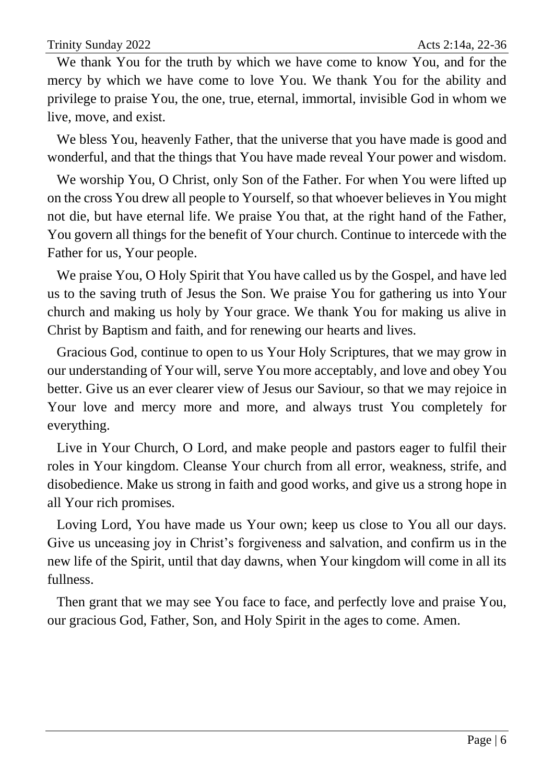We thank You for the truth by which we have come to know You, and for the mercy by which we have come to love You. We thank You for the ability and privilege to praise You, the one, true, eternal, immortal, invisible God in whom we live, move, and exist.

We bless You, heavenly Father, that the universe that you have made is good and wonderful, and that the things that You have made reveal Your power and wisdom.

We worship You, O Christ, only Son of the Father. For when You were lifted up on the cross You drew all people to Yourself, so that whoever believes in You might not die, but have eternal life. We praise You that, at the right hand of the Father, You govern all things for the benefit of Your church. Continue to intercede with the Father for us, Your people.

We praise You, O Holy Spirit that You have called us by the Gospel, and have led us to the saving truth of Jesus the Son. We praise You for gathering us into Your church and making us holy by Your grace. We thank You for making us alive in Christ by Baptism and faith, and for renewing our hearts and lives.

Gracious God, continue to open to us Your Holy Scriptures, that we may grow in our understanding of Your will, serve You more acceptably, and love and obey You better. Give us an ever clearer view of Jesus our Saviour, so that we may rejoice in Your love and mercy more and more, and always trust You completely for everything.

Live in Your Church, O Lord, and make people and pastors eager to fulfil their roles in Your kingdom. Cleanse Your church from all error, weakness, strife, and disobedience. Make us strong in faith and good works, and give us a strong hope in all Your rich promises.

Loving Lord, You have made us Your own; keep us close to You all our days. Give us unceasing joy in Christ's forgiveness and salvation, and confirm us in the new life of the Spirit, until that day dawns, when Your kingdom will come in all its fullness.

Then grant that we may see You face to face, and perfectly love and praise You, our gracious God, Father, Son, and Holy Spirit in the ages to come. Amen.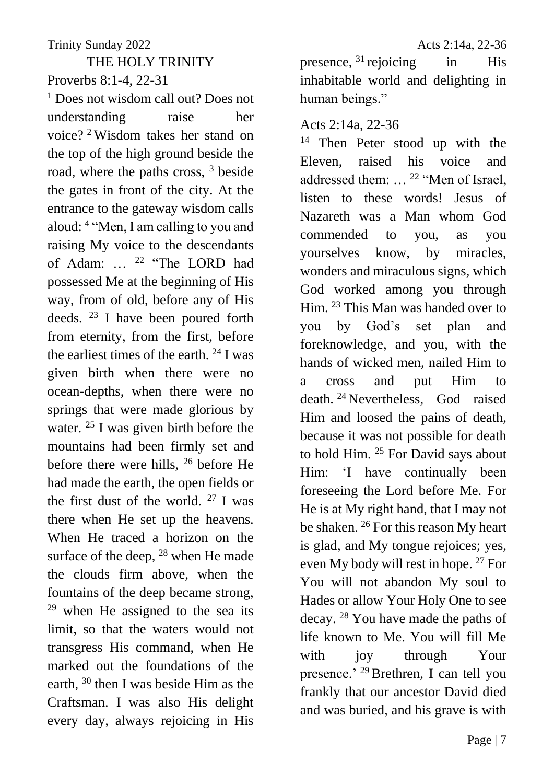THE HOLY TRINITY Proverbs 8:1-4, 22-31

<sup>1</sup> Does not wisdom call out? Does not understanding raise her voice? <sup>2</sup> Wisdom takes her stand on the top of the high ground beside the road, where the paths cross, <sup>3</sup> beside the gates in front of the city. At the entrance to the gateway wisdom calls aloud: <sup>4</sup> "Men, I am calling to you and raising My voice to the descendants of Adam: … <sup>22</sup> "The LORD had possessed Me at the beginning of His way, from of old, before any of His deeds. <sup>23</sup> I have been poured forth from eternity, from the first, before the earliest times of the earth.  $24$  I was given birth when there were no ocean-depths, when there were no springs that were made glorious by water. <sup>25</sup> I was given birth before the mountains had been firmly set and before there were hills, <sup>26</sup> before He had made the earth, the open fields or the first dust of the world.  $27$  I was there when He set up the heavens. When He traced a horizon on the surface of the deep,  $^{28}$  when He made the clouds firm above, when the fountains of the deep became strong,  $29$  when He assigned to the sea its limit, so that the waters would not transgress His command, when He marked out the foundations of the earth, <sup>30</sup> then I was beside Him as the Craftsman. I was also His delight every day, always rejoicing in His

presence,  $31$  rejoicing in His inhabitable world and delighting in human beings."

## Acts 2:14a, 22-36

<sup>14</sup> Then Peter stood up with the Eleven, raised his voice and addressed them: … <sup>22</sup> "Men of Israel, listen to these words! Jesus of Nazareth was a Man whom God commended to you, as you yourselves know, by miracles, wonders and miraculous signs, which God worked among you through Him. <sup>23</sup> This Man was handed over to you by God's set plan and foreknowledge, and you, with the hands of wicked men, nailed Him to a cross and put Him to death. <sup>24</sup> Nevertheless, God raised Him and loosed the pains of death, because it was not possible for death to hold Him. <sup>25</sup> For David says about Him: 'I have continually been foreseeing the Lord before Me. For He is at My right hand, that I may not be shaken. <sup>26</sup> For this reason My heart is glad, and My tongue rejoices; yes, even My body will rest in hope. <sup>27</sup> For You will not abandon My soul to Hades or allow Your Holy One to see decay. <sup>28</sup> You have made the paths of life known to Me. You will fill Me with joy through Your presence.' <sup>29</sup>Brethren, I can tell you frankly that our ancestor David died and was buried, and his grave is with